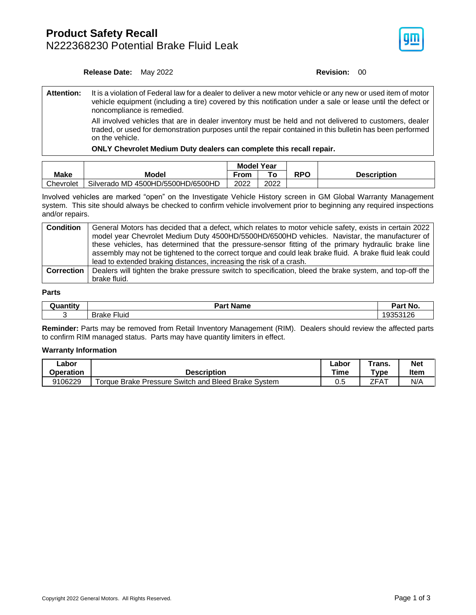## **Product Safety Recall** N222368230 Potential Brake Fluid Leak



**Release Date:** May 2022 **Revision: 00** 

**Attention:** It is a violation of Federal law for a dealer to deliver a new motor vehicle or any new or used item of motor vehicle equipment (including a tire) covered by this notification under a sale or lease until the defect or noncompliance is remedied. All involved vehicles that are in dealer inventory must be held and not delivered to customers, dealer

traded, or used for demonstration purposes until the repair contained in this bulletin has been performed on the vehicle.

**ONLY Chevrolet Medium Duty dealers can complete this recall repair.**

|             |                                   | <b>Model Year</b> |      |     |                    |  |  |
|-------------|-----------------------------------|-------------------|------|-----|--------------------|--|--|
| <b>Make</b> | Model                             | From              |      | RPO | <b>Description</b> |  |  |
| Chevrolet   | Silverado MD 4500HD/5500HD/6500HD | 2022              | 2022 |     |                    |  |  |

Involved vehicles are marked "open" on the Investigate Vehicle History screen in GM Global Warranty Management system. This site should always be checked to confirm vehicle involvement prior to beginning any required inspections and/or repairs.

| <b>Condition</b>  | General Motors has decided that a defect, which relates to motor vehicle safety, exists in certain 2022<br>model year Chevrolet Medium Duty 4500HD/5500HD/6500HD vehicles. Navistar, the manufacturer of<br>these vehicles, has determined that the pressure-sensor fitting of the primary hydraulic brake line<br>assembly may not be tightened to the correct torque and could leak brake fluid. A brake fluid leak could |
|-------------------|-----------------------------------------------------------------------------------------------------------------------------------------------------------------------------------------------------------------------------------------------------------------------------------------------------------------------------------------------------------------------------------------------------------------------------|
|                   | lead to extended braking distances, increasing the risk of a crash.                                                                                                                                                                                                                                                                                                                                                         |
| <b>Correction</b> | Dealers will tighten the brake pressure switch to specification, bleed the brake system, and top-off the                                                                                                                                                                                                                                                                                                                    |
|                   | brake fluid.                                                                                                                                                                                                                                                                                                                                                                                                                |

#### **Parts**

| uantitvب | <b>Name</b><br>Part                  | Part No. |  |
|----------|--------------------------------------|----------|--|
|          | _. .<br>- -<br><b>Brake</b><br>∙luid | 9353126  |  |

**Reminder:** Parts may be removed from Retail Inventory Management (RIM). Dealers should review the affected parts to confirm RIM managed status. Parts may have quantity limiters in effect.

### **Warranty Information**

| _abor     | <b>Description</b>                                  | ∟abor | ™rans.  | <b>Net</b> |
|-----------|-----------------------------------------------------|-------|---------|------------|
| Operation |                                                     | Time  | $T$ ype | Item       |
| 9106229   | Torque Brake Pressure Switch and Bleed Brake System | 0.5   | ZFA1    | N/A        |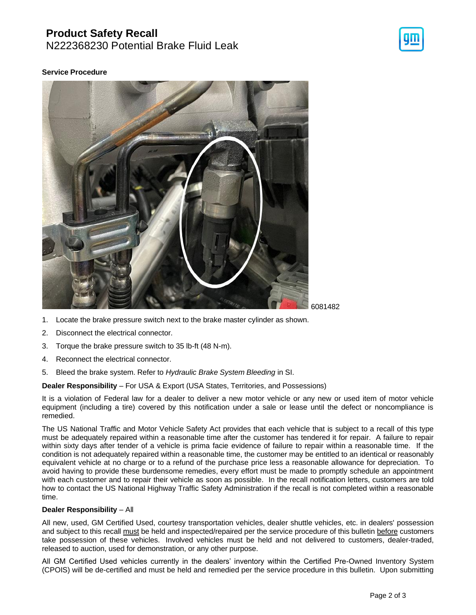# **Product Safety Recall**

N222368230 Potential Brake Fluid Leak



## **Service Procedure**



- 1. Locate the brake pressure switch next to the brake master cylinder as shown.
- 2. Disconnect the electrical connector.
- 3. Torque the brake pressure switch to 35 lb-ft (48 N-m).
- 4. Reconnect the electrical connector.
- 5. Bleed the brake system. Refer to *Hydraulic Brake System Bleeding* in SI.

**Dealer Responsibility** – For USA & Export (USA States, Territories, and Possessions)

It is a violation of Federal law for a dealer to deliver a new motor vehicle or any new or used item of motor vehicle equipment (including a tire) covered by this notification under a sale or lease until the defect or noncompliance is remedied.

The US National Traffic and Motor Vehicle Safety Act provides that each vehicle that is subject to a recall of this type must be adequately repaired within a reasonable time after the customer has tendered it for repair. A failure to repair within sixty days after tender of a vehicle is prima facie evidence of failure to repair within a reasonable time. If the condition is not adequately repaired within a reasonable time, the customer may be entitled to an identical or reasonably equivalent vehicle at no charge or to a refund of the purchase price less a reasonable allowance for depreciation. To avoid having to provide these burdensome remedies, every effort must be made to promptly schedule an appointment with each customer and to repair their vehicle as soon as possible. In the recall notification letters, customers are told how to contact the US National Highway Traffic Safety Administration if the recall is not completed within a reasonable time.

### **Dealer Responsibility** – All

All new, used, GM Certified Used, courtesy transportation vehicles, dealer shuttle vehicles, etc. in dealers' possession and subject to this recall must be held and inspected/repaired per the service procedure of this bulletin before customers take possession of these vehicles. Involved vehicles must be held and not delivered to customers, dealer-traded, released to auction, used for demonstration, or any other purpose.

All GM Certified Used vehicles currently in the dealers' inventory within the Certified Pre-Owned Inventory System (CPOIS) will be de-certified and must be held and remedied per the service procedure in this bulletin. Upon submitting